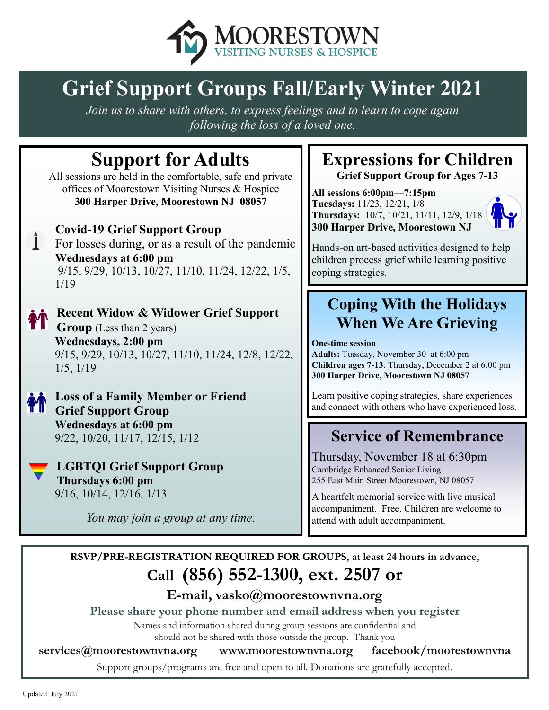

# **Grief Support Groups Fall/Early Winter 2021**

*Join us to share with others, to express feelings and to learn to cope again following the loss of a loved one.*

# **Support for Adults**

All sessions are held in the comfortable, safe and private offices of Moorestown Visiting Nurses & Hospice **300 Harper Drive, Moorestown NJ 08057**



## **Covid-19 Grief Support Group**

For losses during, or as a result of the pandemic **Wednesdays at 6:00 pm** 9/15, 9/29, 10/13, 10/27, 11/10, 11/24, 12/22, 1/5, 1/19



### **Recent Widow & Widower Grief Support Group** (Less than 2 years) **Wednesdays, 2:00 pm**

9/15, 9/29, 10/13, 10/27, 11/10, 11/24, 12/8, 12/22, 1/5, 1/19

**Loss of a Family Member or Friend Grief Support Group Wednesdays at 6:00 pm** 9/22, 10/20, 11/17, 12/15, 1/12

**LGBTQI Grief Support Group Thursdays 6:00 pm** 9/16, 10/14, 12/16, 1/13

*You may join a group at any time.*

# **Expressions for Children**

**Grief Support Group for Ages 7-13**

**All sessions 6:00pm—7:15pm Tuesdays:** 11/23, 12/21, 1/8 **Thursdays:** 10/7, 10/21, 11/11, 12/9, 1/18 **300 Harper Drive, Moorestown NJ** 



Hands-on art-based activities designed to help children process grief while learning positive coping strategies.

# **Coping With the Holidays When We Are Grieving**

#### **One-time session**

**Adults:** Tuesday, November 30 at 6:00 pm **Children ages 7-13**: Thursday, December 2 at 6:00 pm **300 Harper Drive, Moorestown NJ 08057**

Learn positive coping strategies, share experiences and connect with others who have experienced loss.

# **Service of Remembrance**

Thursday, November 18 at 6:30pm Cambridge Enhanced Senior Living 255 East Main Street Moorestown, NJ 08057

A heartfelt memorial service with live musical accompaniment. Free. Children are welcome to attend with adult accompaniment.

**RSVP/PRE-REGISTRATION REQUIRED FOR GROUPS, at least 24 hours in advance, Call (856) 552-1300, ext. 2507 or** 

## **E-mail, vasko@moorestownvna.org**

**Please share your phone number and email address when you register**

Names and information shared during group sessions are confidential and

should not be shared with those outside the group. Thank you

**services@moorestownvna.org www.moorestownvna.org facebook/moorestownvna**

Support groups/programs are free and open to all. Donations are gratefully accepted.